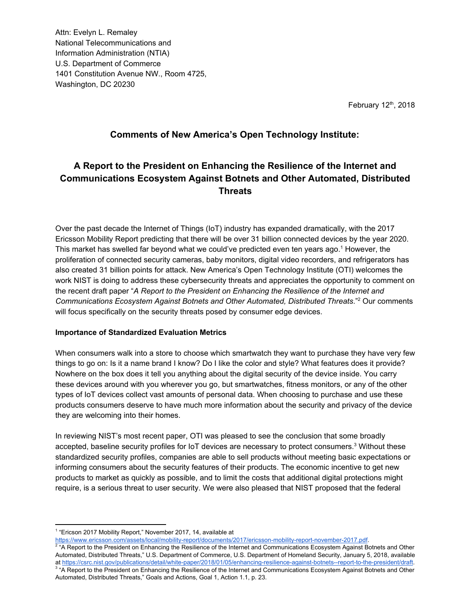Attn: Evelyn L. Remaley National Telecommunications and Information Administration (NTIA) U.S. Department of Commerce 1401 Constitution Avenue NW., Room 4725, Washington, DC 20230

February 12<sup>th</sup>, 2018

## **Comments of New America's Open Technology Institute:**

# **A Report to the President on Enhancing the Resilience of the Internet and Communications Ecosystem Against Botnets and Other Automated, Distributed Threats**

Over the past decade the Internet of Things (IoT) industry has expanded dramatically, with the 2017 Ericsson Mobility Report predicting that there will be over 31 billion connected devices by the year 2020. This market has swelled far beyond what we could've predicted even ten years ago.<sup>1</sup> However, the proliferation of connected security cameras, baby monitors, digital video recorders, and refrigerators has also created 31 billion points for attack. New America's Open Technology Institute (OTI) welcomes the work NIST is doing to address these cybersecurity threats and appreciates the opportunity to comment on the recent draft paper "*A Report to the President on Enhancing the Resilience of the Internet and Communications Ecosystem Against Botnets and Other Automated, Distributed Threats*." Our comments 2 will focus specifically on the security threats posed by consumer edge devices.

#### **Importance of Standardized Evaluation Metrics**

When consumers walk into a store to choose which smartwatch they want to purchase they have very few things to go on: Is it a name brand I know? Do I like the color and style? What features does it provide? Nowhere on the box does it tell you anything about the digital security of the device inside. You carry these devices around with you wherever you go, but smartwatches, fitness monitors, or any of the other types of IoT devices collect vast amounts of personal data. When choosing to purchase and use these products consumers deserve to have much more information about the security and privacy of the device they are welcoming into their homes.

In reviewing NIST's most recent paper, OTI was pleased to see the conclusion that some broadly accepted, baseline security profiles for IoT devices are necessary to protect consumers. $3$  Without these standardized security profiles, companies are able to sell products without meeting basic expectations or informing consumers about the security features of their products. The economic incentive to get new products to market as quickly as possible, and to limit the costs that additional digital protections might require, is a serious threat to user security. We were also pleased that NIST proposed that the federal

<sup>&</sup>lt;sup>1</sup> "Ericson 2017 Mobility Report," November 2017, 14, available at

[https://www.ericsson.com/assets/local/mobility-report/documents/2017/ericsson-mobility-report-november-2017.pdf.](https://www.ericsson.com/assets/local/mobility-report/documents/2017/ericsson-mobility-report-november-2017.pdf)

<sup>&</sup>lt;sup>2</sup> "A Report to the President on Enhancing the Resilience of the Internet and Communications Ecosystem Against Botnets and Other Automated, Distributed Threats," U.S. Department of Commerce, U.S. Department of Homeland Security, January 5, 2018, available at <https://csrc.nist.gov/publications/detail/white-paper/2018/01/05/enhancing-resilience-against-botnets--report-to-the-president/draft>. <sup>3</sup> "A Report to the President on Enhancing the Resilience of the Internet and Communications Ecosystem Against Botnets and Other Automated, Distributed Threats," Goals and Actions, Goal 1, Action 1.1, p. 23.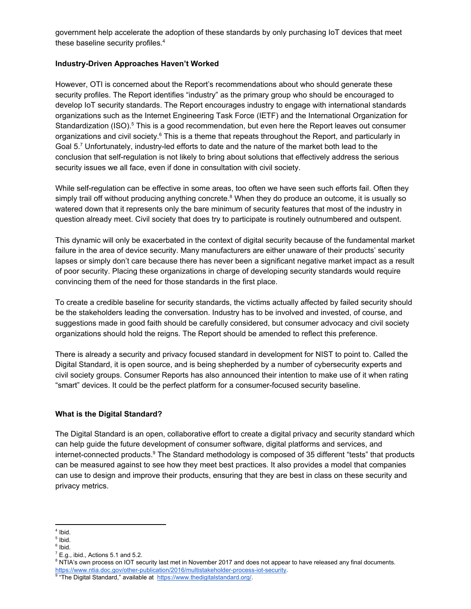government help accelerate the adoption of these standards by only purchasing IoT devices that meet these baseline security profiles. 4

#### **Industry-Driven Approaches Haven't Worked**

However, OTI is concerned about the Report's recommendations about who should generate these security profiles. The Report identifies "industry" as the primary group who should be encouraged to develop IoT security standards. The Report encourages industry to engage with international standards organizations such as the Internet Engineering Task Force (IETF) and the International Organization for Standardization (ISO).<sup>5</sup> This is a good recommendation, but even here the Report leaves out consumer organizations and civil society. $^6$  This is a theme that repeats throughout the Report, and particularly in Goal 5.<sup>7</sup> Unfortunately, industry-led efforts to date and the nature of the market both lead to the conclusion that self-regulation is not likely to bring about solutions that effectively address the serious security issues we all face, even if done in consultation with civil society.

While self-regulation can be effective in some areas, too often we have seen such efforts fail. Often they simply trail off without producing anything concrete. $^8$  When they do produce an outcome, it is usually so watered down that it represents only the bare minimum of security features that most of the industry in question already meet. Civil society that does try to participate is routinely outnumbered and outspent.

This dynamic will only be exacerbated in the context of digital security because of the fundamental market failure in the area of device security. Many manufacturers are either unaware of their products' security lapses or simply don't care because there has never been a significant negative market impact as a result of poor security. Placing these organizations in charge of developing security standards would require convincing them of the need for those standards in the first place.

To create a credible baseline for security standards, the victims actually affected by failed security should be the stakeholders leading the conversation. Industry has to be involved and invested, of course, and suggestions made in good faith should be carefully considered, but consumer advocacy and civil society organizations should hold the reigns. The Report should be amended to reflect this preference.

There is already a security and privacy focused standard in development for NIST to point to. Called the Digital Standard, it is open source, and is being shepherded by a number of cybersecurity experts and civil society groups. Consumer Reports has also announced their intention to make use of it when rating "smart" devices. It could be the perfect platform for a consumer-focused security baseline.

#### **What is the Digital Standard?**

The Digital Standard is an open, collaborative effort to create a digital privacy and security standard which can help guide the future development of consumer software, digital platforms and services, and internet-connected products.<sup>9</sup> The Standard methodology is composed of 35 different "tests" that products can be measured against to see how they meet best practices. It also provides a model that companies can use to design and improve their products, ensuring that they are best in class on these security and privacy metrics.

<sup>4</sup> Ibid.

<sup>&</sup>lt;sup>5</sup> Ibid.

<sup>6</sup> Ibid.

 $<sup>7</sup>$  E.g., ibid., Actions 5.1 and 5.2.</sup>

<sup>&</sup>lt;sup>8</sup> NTIA's own process on IOT security last met in November 2017 and does not appear to have released any final documents. <https://www.ntia.doc.gov/other-publication/2016/multistakeholder-process-iot-security>.

<sup>&</sup>lt;sup>9</sup> "The Digital Standard," available at [https://www.thedigitalstandard.org/.](https://www.thedigitalstandard.org/)